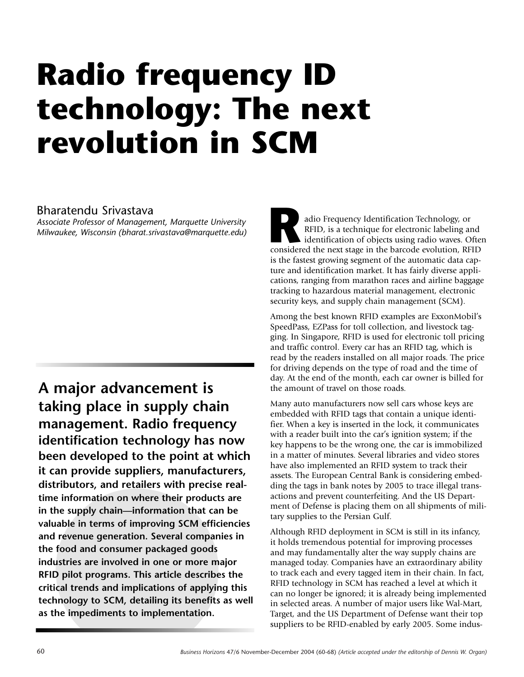# **Radio frequency ID technology: The next revolution in SCM**

#### Bharatendu Srivastava

*Associate Professor of Management, Marquette University Milwaukee, Wisconsin (bharat.srivastava@marquette.edu)*

**A major advancement is taking place in supply chain management. Radio frequency identification technology has now been developed to the point at which it can provide suppliers, manufacturers, distributors, and retailers with precise realtime information on where their products are in the supply chain—information that can be valuable in terms of improving SCM efficiencies and revenue generation. Several companies in the food and consumer packaged goods industries are involved in one or more major RFID pilot programs. This article describes the critical trends and implications of applying this technology to SCM, detailing its benefits as well as the impediments to implementation.** 

adio Frequency Identification Technology, or<br>
RFID, is a technique for electronic labeling and<br>
identification of objects using radio waves. Ofte<br>
considered the next stage in the barcode evolution, RFID RFID, is a technique for electronic labeling and identification of objects using radio waves. Often is the fastest growing segment of the automatic data capture and identification market. It has fairly diverse applications, ranging from marathon races and airline baggage tracking to hazardous material management, electronic security keys, and supply chain management (SCM).

Among the best known RFID examples are ExxonMobil's SpeedPass, EZPass for toll collection, and livestock tagging. In Singapore, RFID is used for electronic toll pricing and traffic control. Every car has an RFID tag, which is read by the readers installed on all major roads. The price for driving depends on the type of road and the time of day. At the end of the month, each car owner is billed for the amount of travel on those roads.

Many auto manufacturers now sell cars whose keys are embedded with RFID tags that contain a unique identifier. When a key is inserted in the lock, it communicates with a reader built into the car's ignition system; if the key happens to be the wrong one, the car is immobilized in a matter of minutes. Several libraries and video stores have also implemented an RFID system to track their assets. The European Central Bank is considering embedding the tags in bank notes by 2005 to trace illegal transactions and prevent counterfeiting. And the US Department of Defense is placing them on all shipments of military supplies to the Persian Gulf.

Although RFID deployment in SCM is still in its infancy, it holds tremendous potential for improving processes and may fundamentally alter the way supply chains are managed today. Companies have an extraordinary ability to track each and every tagged item in their chain. In fact, RFID technology in SCM has reached a level at which it can no longer be ignored; it is already being implemented in selected areas. A number of major users like Wal-Mart, Target, and the US Department of Defense want their top suppliers to be RFID-enabled by early 2005. Some indus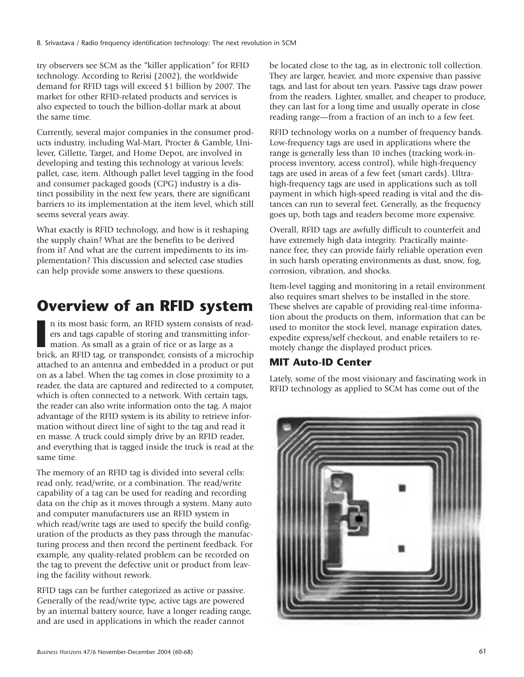try observers see SCM as the "killer application" for RFID technology. According to Rerisi (2002), the worldwide demand for RFID tags will exceed \$1 billion by 2007. The market for other RFID-related products and services is also expected to touch the billion-dollar mark at about the same time.

Currently, several major companies in the consumer products industry, including Wal-Mart, Procter & Gamble, Unilever, Gillette, Target, and Home Depot, are involved in developing and testing this technology at various levels: pallet, case, item. Although pallet level tagging in the food and consumer packaged goods (CPG) industry is a distinct possibility in the next few years, there are significant barriers to its implementation at the item level, which still seems several years away.

What exactly is RFID technology, and how is it reshaping the supply chain? What are the benefits to be derived from it? And what are the current impediments to its implementation? This discussion and selected case studies can help provide some answers to these questions.

## **Overview of an RFID system**

n its most basic form, an RFID system consists of readers and tags capable of storing and transmitting information. As small as a grain of rice or as large as a brick, an RFID tag, or transponder, consists of a microchip n its most basic form, an RFID system consists of readers and tags capable of storing and transmitting information. As small as a grain of rice or as large as a attached to an antenna and embedded in a product or put on as a label. When the tag comes in close proximity to a reader, the data are captured and redirected to a computer, which is often connected to a network. With certain tags, the reader can also write information onto the tag. A major advantage of the RFID system is its ability to retrieve information without direct line of sight to the tag and read it en masse. A truck could simply drive by an RFID reader, and everything that is tagged inside the truck is read at the same time.

The memory of an RFID tag is divided into several cells: read only, read/write, or a combination. The read/write capability of a tag can be used for reading and recording data on the chip as it moves through a system. Many auto and computer manufacturers use an RFID system in which read/write tags are used to specify the build configuration of the products as they pass through the manufacturing process and then record the pertinent feedback. For example, any quality-related problem can be recorded on the tag to prevent the defective unit or product from leaving the facility without rework.

RFID tags can be further categorized as active or passive. Generally of the read/write type, active tags are powered by an internal battery source, have a longer reading range, and are used in applications in which the reader cannot

be located close to the tag, as in electronic toll collection. They are larger, heavier, and more expensive than passive tags, and last for about ten years. Passive tags draw power from the readers. Lighter, smaller, and cheaper to produce, they can last for a long time and usually operate in close reading range—from a fraction of an inch to a few feet.

RFID technology works on a number of frequency bands. Low-frequency tags are used in applications where the range is generally less than 10 inches (tracking work-inprocess inventory, access control), while high-frequency tags are used in areas of a few feet (smart cards). Ultrahigh-frequency tags are used in applications such as toll payment in which high-speed reading is vital and the distances can run to several feet. Generally, as the frequency goes up, both tags and readers become more expensive.

Overall, RFID tags are awfully difficult to counterfeit and have extremely high data integrity. Practically maintenance free, they can provide fairly reliable operation even in such harsh operating environments as dust, snow, fog, corrosion, vibration, and shocks.

Item-level tagging and monitoring in a retail environment also requires smart shelves to be installed in the store. These shelves are capable of providing real-time information about the products on them, information that can be used to monitor the stock level, manage expiration dates, expedite express/self checkout, and enable retailers to remotely change the displayed product prices.

#### **MIT Auto-ID Center**

Lately, some of the most visionary and fascinating work in RFID technology as applied to SCM has come out of the

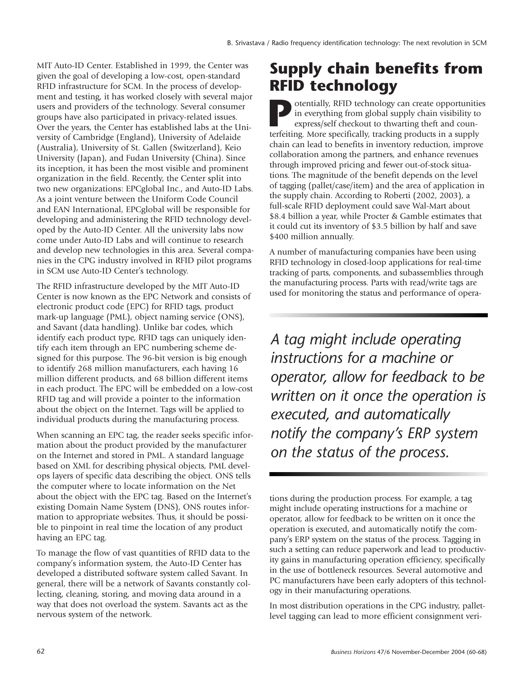MIT Auto-ID Center. Established in 1999, the Center was given the goal of developing a low-cost, open-standard RFID infrastructure for SCM. In the process of development and testing, it has worked closely with several major users and providers of the technology. Several consumer groups have also participated in privacy-related issues. Over the years, the Center has established labs at the University of Cambridge (England), University of Adelaide (Australia), University of St. Gallen (Switzerland), Keio University (Japan), and Fudan University (China). Since its inception, it has been the most visible and prominent organization in the field. Recently, the Center split into two new organizations: EPCglobal Inc., and Auto-ID Labs. As a joint venture between the Uniform Code Council and EAN International, EPCglobal will be responsible for developing and administering the RFID technology developed by the Auto-ID Center. All the university labs now come under Auto-ID Labs and will continue to research and develop new technologies in this area. Several companies in the CPG industry involved in RFID pilot programs in SCM use Auto-ID Center's technology.

The RFID infrastructure developed by the MIT Auto-ID Center is now known as the EPC Network and consists of electronic product code (EPC) for RFID tags, product mark-up language (PML), object naming service (ONS), and Savant (data handling). Unlike bar codes, which identify each product type, RFID tags can uniquely identify each item through an EPC numbering scheme designed for this purpose. The 96-bit version is big enough to identify 268 million manufacturers, each having 16 million different products, and 68 billion different items in each product. The EPC will be embedded on a low-cost RFID tag and will provide a pointer to the information about the object on the Internet. Tags will be applied to individual products during the manufacturing process.

When scanning an EPC tag, the reader seeks specific information about the product provided by the manufacturer on the Internet and stored in PML. A standard language based on XML for describing physical objects, PML develops layers of specific data describing the object. ONS tells the computer where to locate information on the Net about the object with the EPC tag. Based on the Internet's existing Domain Name System (DNS), ONS routes information to appropriate websites. Thus, it should be possible to pinpoint in real time the location of any product having an EPC tag.

To manage the flow of vast quantities of RFID data to the company's information system, the Auto-ID Center has developed a distributed software system called Savant. In general, there will be a network of Savants constantly collecting, cleaning, storing, and moving data around in a way that does not overload the system. Savants act as the nervous system of the network.

## **Supply chain benefits from RFID technology**

**P**otentially, RFID technology can create opportunities in everything from global supply chain visibility to express/self checkout to thwarting theft and counterfeiting. More specifically, tracking products in a supply chain can lead to benefits in inventory reduction, improve collaboration among the partners, and enhance revenues through improved pricing and fewer out-of-stock situations. The magnitude of the benefit depends on the level of tagging (pallet/case/item) and the area of application in the supply chain. According to Roberti (2002, 2003), a full-scale RFID deployment could save Wal-Mart about \$8.4 billion a year, while Procter & Gamble estimates that it could cut its inventory of \$3.5 billion by half and save \$400 million annually.

A number of manufacturing companies have been using RFID technology in closed-loop applications for real-time tracking of parts, components, and subassemblies through the manufacturing process. Parts with read/write tags are used for monitoring the status and performance of opera-

*A tag might include operating instructions for a machine or operator, allow for feedback to be written on it once the operation is executed, and automatically notify the company's ERP system on the status of the process.*

tions during the production process. For example, a tag might include operating instructions for a machine or operator, allow for feedback to be written on it once the operation is executed, and automatically notify the company's ERP system on the status of the process. Tagging in such a setting can reduce paperwork and lead to productivity gains in manufacturing operation efficiency, specifically in the use of bottleneck resources. Several automotive and PC manufacturers have been early adopters of this technology in their manufacturing operations.

In most distribution operations in the CPG industry, palletlevel tagging can lead to more efficient consignment veri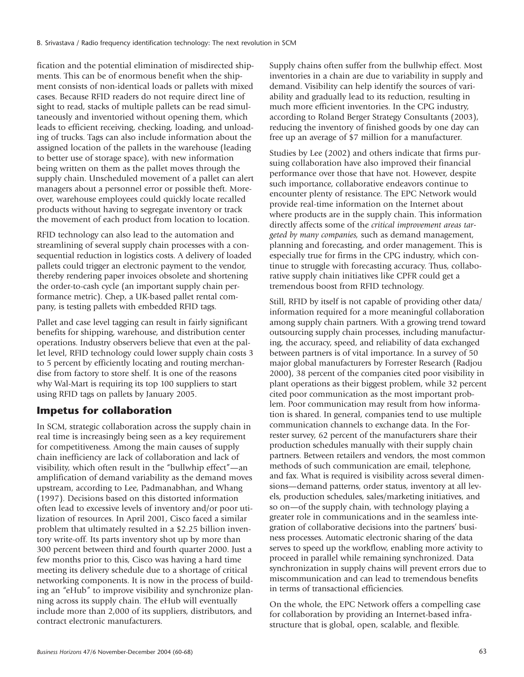fication and the potential elimination of misdirected shipments. This can be of enormous benefit when the shipment consists of non-identical loads or pallets with mixed cases. Because RFID readers do not require direct line of sight to read, stacks of multiple pallets can be read simultaneously and inventoried without opening them, which leads to efficient receiving, checking, loading, and unloading of trucks. Tags can also include information about the assigned location of the pallets in the warehouse (leading to better use of storage space), with new information being written on them as the pallet moves through the supply chain. Unscheduled movement of a pallet can alert managers about a personnel error or possible theft. Moreover, warehouse employees could quickly locate recalled products without having to segregate inventory or track the movement of each product from location to location.

RFID technology can also lead to the automation and streamlining of several supply chain processes with a consequential reduction in logistics costs. A delivery of loaded pallets could trigger an electronic payment to the vendor, thereby rendering paper invoices obsolete and shortening the order-to-cash cycle (an important supply chain performance metric). Chep, a UK-based pallet rental company, is testing pallets with embedded RFID tags.

Pallet and case level tagging can result in fairly significant benefits for shipping, warehouse, and distribution center operations. Industry observers believe that even at the pallet level, RFID technology could lower supply chain costs 3 to 5 percent by efficiently locating and routing merchandise from factory to store shelf. It is one of the reasons why Wal-Mart is requiring its top 100 suppliers to start using RFID tags on pallets by January 2005.

#### **Impetus for collaboration**

In SCM, strategic collaboration across the supply chain in real time is increasingly being seen as a key requirement for competitiveness. Among the main causes of supply chain inefficiency are lack of collaboration and lack of visibility, which often result in the "bullwhip effect"—an amplification of demand variability as the demand moves upstream, according to Lee, Padmanabhan, and Whang (1997). Decisions based on this distorted information often lead to excessive levels of inventory and/or poor utilization of resources. In April 2001, Cisco faced a similar problem that ultimately resulted in a \$2.25 billion inventory write-off. Its parts inventory shot up by more than 300 percent between third and fourth quarter 2000. Just a few months prior to this, Cisco was having a hard time meeting its delivery schedule due to a shortage of critical networking components. It is now in the process of building an "eHub" to improve visibility and synchronize planning across its supply chain. The eHub will eventually include more than 2,000 of its suppliers, distributors, and contract electronic manufacturers.

Supply chains often suffer from the bullwhip effect. Most inventories in a chain are due to variability in supply and demand. Visibility can help identify the sources of variability and gradually lead to its reduction, resulting in much more efficient inventories. In the CPG industry, according to Roland Berger Strategy Consultants (2003), reducing the inventory of finished goods by one day can free up an average of \$7 million for a manufacturer.

Studies by Lee (2002) and others indicate that firms pursuing collaboration have also improved their financial performance over those that have not. However, despite such importance, collaborative endeavors continue to encounter plenty of resistance. The EPC Network would provide real-time information on the Internet about where products are in the supply chain. This information directly affects some of the *critical improvement areas targeted by many companies,* such as demand management, planning and forecasting, and order management. This is especially true for firms in the CPG industry, which continue to struggle with forecasting accuracy. Thus, collaborative supply chain initiatives like CPFR could get a tremendous boost from RFID technology.

Still, RFID by itself is not capable of providing other data/ information required for a more meaningful collaboration among supply chain partners. With a growing trend toward outsourcing supply chain processes, including manufacturing, the accuracy, speed, and reliability of data exchanged between partners is of vital importance. In a survey of 50 major global manufacturers by Forrester Research (Radjou 2000), 38 percent of the companies cited poor visibility in plant operations as their biggest problem, while 32 percent cited poor communication as the most important problem. Poor communication may result from how information is shared. In general, companies tend to use multiple communication channels to exchange data. In the Forrester survey, 62 percent of the manufacturers share their production schedules manually with their supply chain partners. Between retailers and vendors, the most common methods of such communication are email, telephone, and fax. What is required is visibility across several dimensions—demand patterns, order status, inventory at all levels, production schedules, sales/marketing initiatives, and so on—of the supply chain, with technology playing a greater role in communications and in the seamless integration of collaborative decisions into the partners' business processes. Automatic electronic sharing of the data serves to speed up the workflow, enabling more activity to proceed in parallel while remaining synchronized. Data synchronization in supply chains will prevent errors due to miscommunication and can lead to tremendous benefits in terms of transactional efficiencies.

On the whole, the EPC Network offers a compelling case for collaboration by providing an Internet-based infrastructure that is global, open, scalable, and flexible.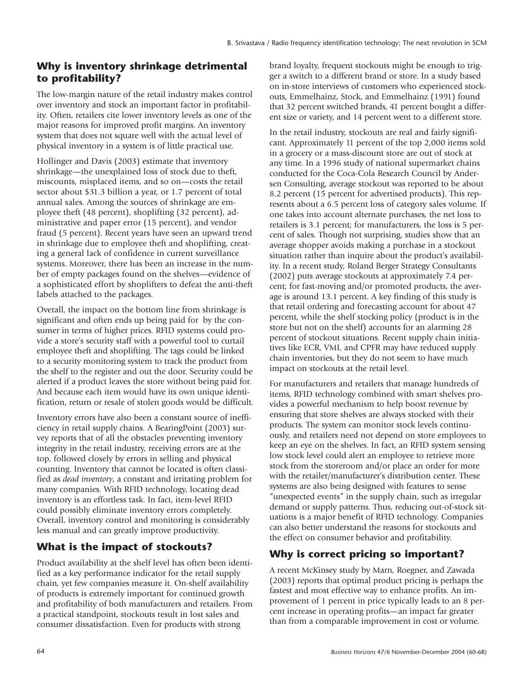#### **Why is inventory shrinkage detrimental to profitability?**

The low-margin nature of the retail industry makes control over inventory and stock an important factor in profitability. Often, retailers cite lower inventory levels as one of the major reasons for improved profit margins. An inventory system that does not square well with the actual level of physical inventory in a system is of little practical use.

Hollinger and Davis (2003) estimate that inventory shrinkage—the unexplained loss of stock due to theft, miscounts, misplaced items, and so on—costs the retail sector about \$31.3 billion a year, or 1.7 percent of total annual sales. Among the sources of shrinkage are employee theft (48 percent), shoplifting (32 percent), administrative and paper error (15 percent), and vendor fraud (5 percent). Recent years have seen an upward trend in shrinkage due to employee theft and shoplifting, creating a general lack of confidence in current surveillance systems. Moreover, there has been an increase in the number of empty packages found on the shelves—evidence of a sophisticated effort by shoplifters to defeat the anti-theft labels attached to the packages.

Overall, the impact on the bottom line from shrinkage is significant and often ends up being paid for by the consumer in terms of higher prices. RFID systems could provide a store's security staff with a powerful tool to curtail employee theft and shoplifting. The tags could be linked to a security monitoring system to track the product from the shelf to the register and out the door. Security could be alerted if a product leaves the store without being paid for. And because each item would have its own unique identification, return or resale of stolen goods would be difficult.

Inventory errors have also been a constant source of inefficiency in retail supply chains. A BearingPoint (2003) survey reports that of all the obstacles preventing inventory integrity in the retail industry, receiving errors are at the top, followed closely by errors in selling and physical counting. Inventory that cannot be located is often classified as *dead inventory*, a constant and irritating problem for many companies. With RFID technology, locating dead inventory is an effortless task. In fact, item-level RFID could possibly eliminate inventory errors completely. Overall, inventory control and monitoring is considerably less manual and can greatly improve productivity.

### **What is the impact of stockouts?**

Product availability at the shelf level has often been identified as a key performance indicator for the retail supply chain, yet few companies measure it. On-shelf availability of products is extremely important for continued growth and profitability of both manufacturers and retailers. From a practical standpoint, stockouts result in lost sales and consumer dissatisfaction. Even for products with strong

brand loyalty, frequent stockouts might be enough to trigger a switch to a different brand or store. In a study based on in-store interviews of customers who experienced stockouts, Emmelhainz, Stock, and Emmelhainz (1991) found that 32 percent switched brands, 41 percent bought a different size or variety, and 14 percent went to a different store.

In the retail industry, stockouts are real and fairly significant. Approximately 11 percent of the top 2,000 items sold in a grocery or a mass-discount store are out of stock at any time. In a 1996 study of national supermarket chains conducted for the Coca-Cola Research Council by Andersen Consulting, average stockout was reported to be about 8.2 percent (15 percent for advertised products). This represents about a 6.5 percent loss of category sales volume. If one takes into account alternate purchases, the net loss to retailers is 3.1 percent; for manufacturers, the loss is 5 percent of sales. Though not surprising, studies show that an average shopper avoids making a purchase in a stockout situation rather than inquire about the product's availability. In a recent study, Roland Berger Strategy Consultants (2002) puts average stockouts at approximately 7.4 percent; for fast-moving and/or promoted products, the average is around 13.1 percent. A key finding of this study is that retail ordering and forecasting account for about 47 percent, while the shelf stocking policy (product is in the store but not on the shelf) accounts for an alarming 28 percent of stockout situations. Recent supply chain initiatives like ECR, VMI, and CPFR may have reduced supply chain inventories, but they do not seem to have much impact on stockouts at the retail level.

For manufacturers and retailers that manage hundreds of items, RFID technology combined with smart shelves provides a powerful mechanism to help boost revenue by ensuring that store shelves are always stocked with their products. The system can monitor stock levels continuously, and retailers need not depend on store employees to keep an eye on the shelves. In fact, an RFID system sensing low stock level could alert an employee to retrieve more stock from the storeroom and/or place an order for more with the retailer/manufacturer's distribution center. These systems are also being designed with features to sense "unexpected events" in the supply chain, such as irregular demand or supply patterns. Thus, reducing out-of-stock situations is a major benefit of RFID technology. Companies can also better understand the reasons for stockouts and the effect on consumer behavior and profitability.

#### **Why is correct pricing so important?**

A recent McKinsey study by Marn, Roegner, and Zawada (2003) reports that optimal product pricing is perhaps the fastest and most effective way to enhance profits. An improvement of 1 percent in price typically leads to an 8 percent increase in operating profits—an impact far greater than from a comparable improvement in cost or volume.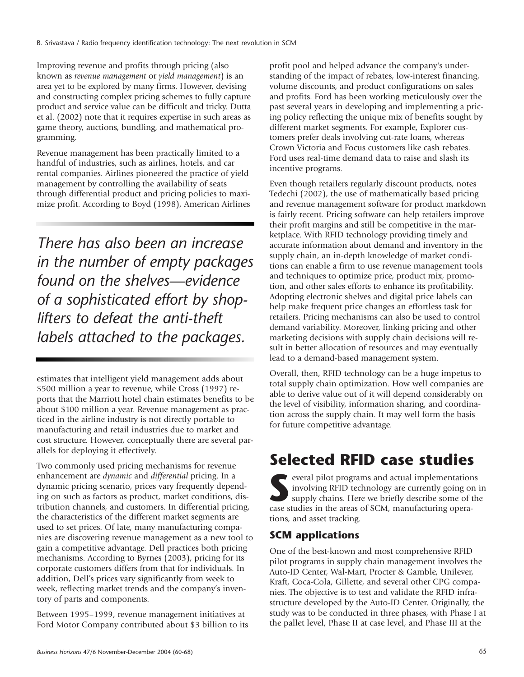Improving revenue and profits through pricing (also known as *revenue management* or *yield management*) is an area yet to be explored by many firms. However, devising and constructing complex pricing schemes to fully capture product and service value can be difficult and tricky. Dutta et al. (2002) note that it requires expertise in such areas as game theory, auctions, bundling, and mathematical programming.

Revenue management has been practically limited to a handful of industries, such as airlines, hotels, and car rental companies. Airlines pioneered the practice of yield management by controlling the availability of seats through differential product and pricing policies to maximize profit. According to Boyd (1998), American Airlines

*There has also been an increase in the number of empty packages found on the shelves—evidence of a sophisticated effort by shoplifters to defeat the anti-theft labels attached to the packages.*

estimates that intelligent yield management adds about \$500 million a year to revenue, while Cross (1997) reports that the Marriott hotel chain estimates benefits to be about \$100 million a year. Revenue management as practiced in the airline industry is not directly portable to manufacturing and retail industries due to market and cost structure. However, conceptually there are several parallels for deploying it effectively.

Two commonly used pricing mechanisms for revenue enhancement are *dynamic* and *differential* pricing. In a dynamic pricing scenario, prices vary frequently depending on such as factors as product, market conditions, distribution channels, and customers. In differential pricing, the characteristics of the different market segments are used to set prices. Of late, many manufacturing companies are discovering revenue management as a new tool to gain a competitive advantage. Dell practices both pricing mechanisms. According to Byrnes (2003), pricing for its corporate customers differs from that for individuals. In addition, Dell's prices vary significantly from week to week, reflecting market trends and the company's inventory of parts and components.

Between 1995–1999, revenue management initiatives at Ford Motor Company contributed about \$3 billion to its profit pool and helped advance the company's understanding of the impact of rebates, low-interest financing, volume discounts, and product configurations on sales and profits. Ford has been working meticulously over the past several years in developing and implementing a pricing policy reflecting the unique mix of benefits sought by different market segments. For example, Explorer customers prefer deals involving cut-rate loans, whereas Crown Victoria and Focus customers like cash rebates. Ford uses real-time demand data to raise and slash its incentive programs.

Even though retailers regularly discount products, notes Tedechi (2002), the use of mathematically based pricing and revenue management software for product markdown is fairly recent. Pricing software can help retailers improve their profit margins and still be competitive in the marketplace. With RFID technology providing timely and accurate information about demand and inventory in the supply chain, an in-depth knowledge of market conditions can enable a firm to use revenue management tools and techniques to optimize price, product mix, promotion, and other sales efforts to enhance its profitability. Adopting electronic shelves and digital price labels can help make frequent price changes an effortless task for retailers. Pricing mechanisms can also be used to control demand variability. Moreover, linking pricing and other marketing decisions with supply chain decisions will result in better allocation of resources and may eventually lead to a demand-based management system.

Overall, then, RFID technology can be a huge impetus to total supply chain optimization. How well companies are able to derive value out of it will depend considerably on the level of visibility, information sharing, and coordination across the supply chain. It may well form the basis for future competitive advantage.

## **Selected RFID case studies**

**S**everal pilot programs and actual implementations involving RFID technology are currently going on in supply chains. Here we briefly describe some of the case studies in the areas of SCM, manufacturing operations, and asset tracking.

#### **SCM applications**

One of the best-known and most comprehensive RFID pilot programs in supply chain management involves the Auto-ID Center, Wal-Mart, Procter & Gamble, Unilever, Kraft, Coca-Cola, Gillette, and several other CPG companies. The objective is to test and validate the RFID infrastructure developed by the Auto-ID Center. Originally, the study was to be conducted in three phases, with Phase I at the pallet level, Phase II at case level, and Phase III at the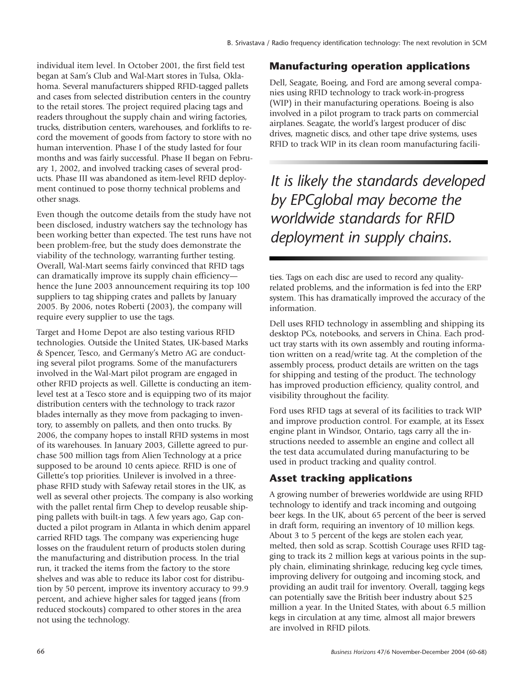individual item level. In October 2001, the first field test began at Sam's Club and Wal-Mart stores in Tulsa, Oklahoma. Several manufacturers shipped RFID-tagged pallets and cases from selected distribution centers in the country to the retail stores. The project required placing tags and readers throughout the supply chain and wiring factories, trucks, distribution centers, warehouses, and forklifts to record the movement of goods from factory to store with no human intervention. Phase I of the study lasted for four months and was fairly successful. Phase II began on February 1, 2002, and involved tracking cases of several products. Phase III was abandoned as item-level RFID deployment continued to pose thorny technical problems and other snags.

Even though the outcome details from the study have not been disclosed, industry watchers say the technology has been working better than expected. The test runs have not been problem-free, but the study does demonstrate the viability of the technology, warranting further testing. Overall, Wal-Mart seems fairly convinced that RFID tags can dramatically improve its supply chain efficiency hence the June 2003 announcement requiring its top 100 suppliers to tag shipping crates and pallets by January 2005. By 2006, notes Roberti (2003), the company will require every supplier to use the tags.

Target and Home Depot are also testing various RFID technologies. Outside the United States, UK-based Marks & Spencer, Tesco, and Germany's Metro AG are conducting several pilot programs. Some of the manufacturers involved in the Wal-Mart pilot program are engaged in other RFID projects as well. Gillette is conducting an itemlevel test at a Tesco store and is equipping two of its major distribution centers with the technology to track razor blades internally as they move from packaging to inventory, to assembly on pallets, and then onto trucks. By 2006, the company hopes to install RFID systems in most of its warehouses. In January 2003, Gillette agreed to purchase 500 million tags from Alien Technology at a price supposed to be around 10 cents apiece. RFID is one of Gillette's top priorities. Unilever is involved in a threephase RFID study with Safeway retail stores in the UK, as well as several other projects. The company is also working with the pallet rental firm Chep to develop reusable shipping pallets with built-in tags. A few years ago, Gap conducted a pilot program in Atlanta in which denim apparel carried RFID tags. The company was experiencing huge losses on the fraudulent return of products stolen during the manufacturing and distribution process. In the trial run, it tracked the items from the factory to the store shelves and was able to reduce its labor cost for distribution by 50 percent, improve its inventory accuracy to 99.9 percent, and achieve higher sales for tagged jeans (from reduced stockouts) compared to other stores in the area not using the technology.

#### **Manufacturing operation applications**

Dell, Seagate, Boeing, and Ford are among several companies using RFID technology to track work-in-progress (WIP) in their manufacturing operations. Boeing is also involved in a pilot program to track parts on commercial airplanes. Seagate, the world's largest producer of disc drives, magnetic discs, and other tape drive systems, uses RFID to track WIP in its clean room manufacturing facili-

*It is likely the standards developed by EPCglobal may become the worldwide standards for RFID deployment in supply chains.*

ties. Tags on each disc are used to record any qualityrelated problems, and the information is fed into the ERP system. This has dramatically improved the accuracy of the information.

Dell uses RFID technology in assembling and shipping its desktop PCs, notebooks, and servers in China. Each product tray starts with its own assembly and routing information written on a read/write tag. At the completion of the assembly process, product details are written on the tags for shipping and testing of the product. The technology has improved production efficiency, quality control, and visibility throughout the facility.

Ford uses RFID tags at several of its facilities to track WIP and improve production control. For example, at its Essex engine plant in Windsor, Ontario, tags carry all the instructions needed to assemble an engine and collect all the test data accumulated during manufacturing to be used in product tracking and quality control.

#### **Asset tracking applications**

A growing number of breweries worldwide are using RFID technology to identify and track incoming and outgoing beer kegs. In the UK, about 65 percent of the beer is served in draft form, requiring an inventory of 10 million kegs. About 3 to 5 percent of the kegs are stolen each year, melted, then sold as scrap. Scottish Courage uses RFID tagging to track its 2 million kegs at various points in the supply chain, eliminating shrinkage, reducing keg cycle times, improving delivery for outgoing and incoming stock, and providing an audit trail for inventory. Overall, tagging kegs can potentially save the British beer industry about \$25 million a year. In the United States, with about 6.5 million kegs in circulation at any time, almost all major brewers are involved in RFID pilots.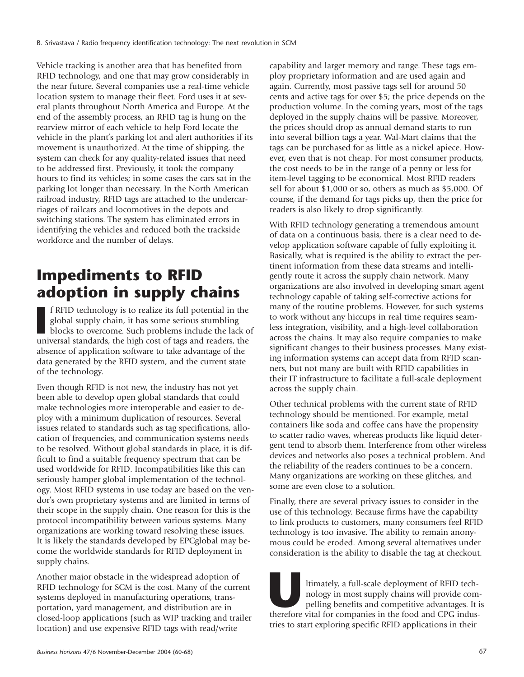Vehicle tracking is another area that has benefited from RFID technology, and one that may grow considerably in the near future. Several companies use a real-time vehicle location system to manage their fleet. Ford uses it at several plants throughout North America and Europe. At the end of the assembly process, an RFID tag is hung on the rearview mirror of each vehicle to help Ford locate the vehicle in the plant's parking lot and alert authorities if its movement is unauthorized. At the time of shipping, the system can check for any quality-related issues that need to be addressed first. Previously, it took the company hours to find its vehicles; in some cases the cars sat in the parking lot longer than necessary. In the North American railroad industry, RFID tags are attached to the undercarriages of railcars and locomotives in the depots and switching stations. The system has eliminated errors in identifying the vehicles and reduced both the trackside workforce and the number of delays.

## **Impediments to RFID adoption in supply chains**

**I** f RFID technology is to realize its full potential in the global supply chain, it has some serious stumbling blocks to overcome. Such problems include the lack c universal standards, the high cost of tags and readers, f RFID technology is to realize its full potential in the global supply chain, it has some serious stumbling blocks to overcome. Such problems include the lack of absence of application software to take advantage of the data generated by the RFID system, and the current state of the technology.

Even though RFID is not new, the industry has not yet been able to develop open global standards that could make technologies more interoperable and easier to deploy with a minimum duplication of resources. Several issues related to standards such as tag specifications, allocation of frequencies, and communication systems needs to be resolved. Without global standards in place, it is difficult to find a suitable frequency spectrum that can be used worldwide for RFID. Incompatibilities like this can seriously hamper global implementation of the technology. Most RFID systems in use today are based on the vendor's own proprietary systems and are limited in terms of their scope in the supply chain. One reason for this is the protocol incompatibility between various systems. Many organizations are working toward resolving these issues. It is likely the standards developed by EPCglobal may become the worldwide standards for RFID deployment in supply chains.

Another major obstacle in the widespread adoption of RFID technology for SCM is the cost. Many of the current systems deployed in manufacturing operations, transportation, yard management, and distribution are in closed-loop applications (such as WIP tracking and trailer location) and use expensive RFID tags with read/write

capability and larger memory and range. These tags employ proprietary information and are used again and again. Currently, most passive tags sell for around 50 cents and active tags for over \$5; the price depends on the production volume. In the coming years, most of the tags deployed in the supply chains will be passive. Moreover, the prices should drop as annual demand starts to run into several billion tags a year. Wal-Mart claims that the tags can be purchased for as little as a nickel apiece. However, even that is not cheap. For most consumer products, the cost needs to be in the range of a penny or less for item-level tagging to be economical. Most RFID readers sell for about \$1,000 or so, others as much as \$5,000. Of course, if the demand for tags picks up, then the price for readers is also likely to drop significantly.

With RFID technology generating a tremendous amount of data on a continuous basis, there is a clear need to develop application software capable of fully exploiting it. Basically, what is required is the ability to extract the pertinent information from these data streams and intelligently route it across the supply chain network. Many organizations are also involved in developing smart agent technology capable of taking self-corrective actions for many of the routine problems. However, for such systems to work without any hiccups in real time requires seamless integration, visibility, and a high-level collaboration across the chains. It may also require companies to make significant changes to their business processes. Many existing information systems can accept data from RFID scanners, but not many are built with RFID capabilities in their IT infrastructure to facilitate a full-scale deployment across the supply chain.

Other technical problems with the current state of RFID technology should be mentioned. For example, metal containers like soda and coffee cans have the propensity to scatter radio waves, whereas products like liquid detergent tend to absorb them. Interference from other wireless devices and networks also poses a technical problem. And the reliability of the readers continues to be a concern. Many organizations are working on these glitches, and some are even close to a solution.

Finally, there are several privacy issues to consider in the use of this technology. Because firms have the capability to link products to customers, many consumers feel RFID technology is too invasive. The ability to remain anonymous could be eroded. Among several alternatives under consideration is the ability to disable the tag at checkout.

Itimately, a full-scale deployment of RFID tech-<br>nology in most supply chains will provide com-<br>pelling benefits and competitive advantages. It is<br>therefore vital for companies in the food and CPG indusnology in most supply chains will provide compelling benefits and competitive advantages. It is tries to start exploring specific RFID applications in their